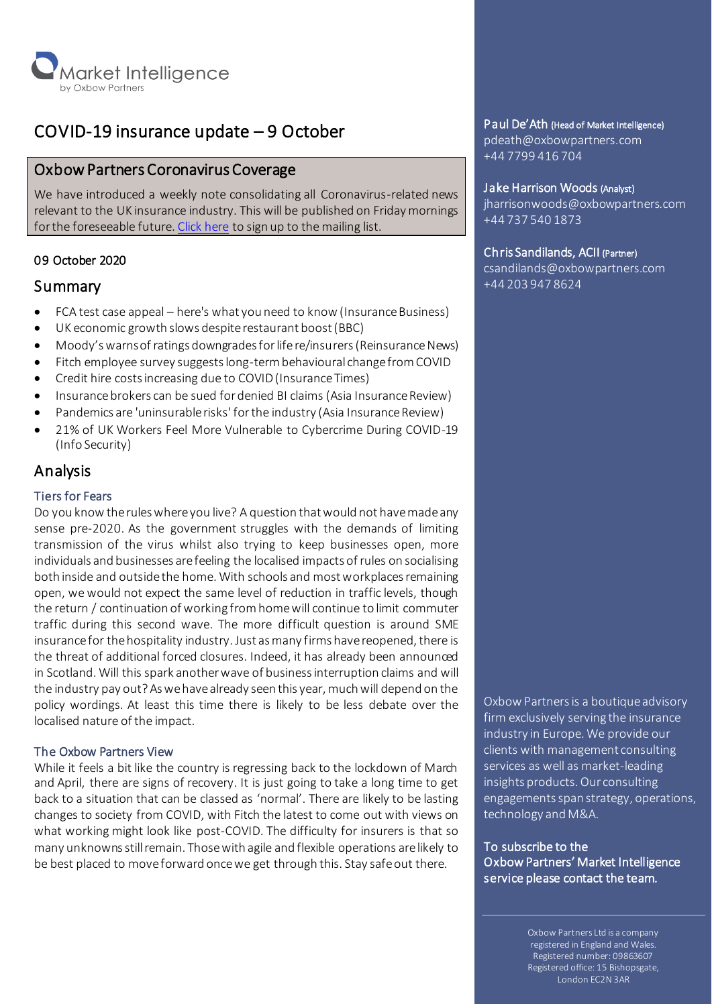

# COVID-19 insurance update – 9 October

# Oxbow Partners Coronavirus Coverage

We have introduced a weekly note consolidating all Coronavirus-related news relevant to the UK insurance industry. This will be published on Friday mornings for the foreseeable future[. Click here](http://oxbowpartners-7474208.hs-sites.com/subscribe-to-market-intelligence) to sign up to the mailing list.

# 09 October 2020

# Summary

- FCA test case appeal here's what you need to know (Insurance Business)
- UK economic growth slows despite restaurant boost (BBC)
- Moody's warns of ratings downgrades for life re/insurers (Reinsurance News)
- Fitch employee survey suggests long-term behavioural change from COVID
- Credit hire costs increasing due to COVID (Insurance Times)
- Insurance brokers can be sued for denied BI claims (Asia Insurance Review)
- Pandemics are 'uninsurable risks' for the industry (Asia Insurance Review)
- 21% of UK Workers Feel More Vulnerable to Cybercrime During COVID-19 (Info Security)

# Analysis

### Tiers for Fears

Do you know the rules where you live? A question thatwould not have madeany sense pre-2020. As the government struggles with the demands of limiting transmission of the virus whilst also trying to keep businesses open, more individuals and businesses are feeling the localised impacts of rules on socialising both inside and outside the home. With schools and most workplaces remaining open, we would not expect the same level of reduction in traffic levels, though the return / continuation of working fromhomewill continue to limit commuter traffic during this second wave. The more difficult question is around SME insurance for the hospitality industry. Just as many firms have reopened, there is the threat of additional forced closures. Indeed, it has already been announced in Scotland. Will this spark another wave of business interruption claims and will the industry pay out? As we have already seen this year, much will depend on the policy wordings. At least this time there is likely to be less debate over the localised nature of the impact.

#### The Oxbow Partners View

While it feels a bit like the country is regressing back to the lockdown of March and April, there are signs of recovery. It is just going to take a long time to get back to a situation that can be classed as 'normal'. There are likely to be lasting changes to society from COVID, with Fitch the latest to come out with views on what working might look like post-COVID. The difficulty for insurers is that so many unknowns still remain. Thosewith agile and flexible operations are likely to be best placed to move forward once we get through this. Stay safe out there.

#### Paul De'Ath (Head of Market Intelligence)

pdeath@oxbowpartners.com +44 7799 416 704

#### Jake Harrison Woods (Analyst)

jharrisonwoods@oxbowpartners.com +44 737 540 1873

#### Chris Sandilands, ACII (Partner)

csandilands@oxbowpartners.com +44 203 947 8624

Oxbow Partners is a boutique advisory firm exclusively serving the insurance industry in Europe. We provide our clients with management consulting services as well as market-leading insights products. Our consulting engagements span strategy, operations, technology and M&A.

To subscribe to the Oxbow Partners' Market Intelligence service please contact the team.

> Oxbow Partners Ltd is a company registered in England and Wales. Registered number: 09863607 Registered office: 15 Bishopsgate, London EC2N 3AR

Ξ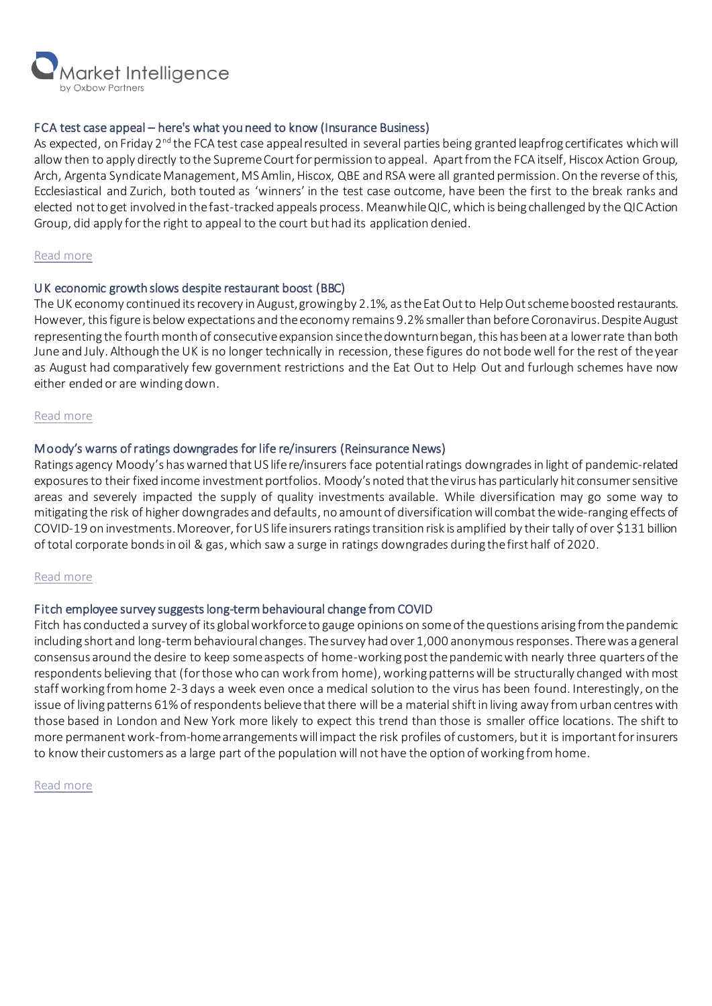

#### FCA test case appeal – here's what you need to know (Insurance Business)

As expected, on Friday 2<sup>nd</sup> the FCA test case appeal resulted in several parties being granted leapfrog certificates which will allow then to apply directly to the Supreme Court for permission to appeal. Apart from the FCA itself, Hiscox Action Group, Arch, Argenta Syndicate Management, MS Amlin, Hiscox, QBE and RSA were all granted permission. On the reverse of this, Ecclesiastical and Zurich, both touted as 'winners' in the test case outcome, have been the first to the break ranks and elected not to get involved in the fast-tracked appeals process. Meanwhile QIC, which is being challenged by the QIC Action Group, did apply for the right to appeal to the court but had its application denied.

#### [Read more](https://www.insurancebusinessmag.com/uk/news/breaking-news/fca-test-case-appeal--heres-what-you-need-to-know-235230.aspx)

#### UK economic growth slows despite restaurant boost (BBC)

The UK economy continued its recovery in August, growing by 2.1%, as the Eat Out to Help Out scheme boosted restaurants. However, this figure is below expectations and the economy remains 9.2% smaller than before Coronavirus. Despite August representing the fourth month of consecutive expansion since the downturn began, this has been at a lower rate than both June and July. Although the UK is no longer technically in recession, these figures do not bode well for the rest of the year as August had comparatively few government restrictions and the Eat Out to Help Out and furlough schemes have now either ended or are winding down.

#### [Read more](https://www.bbc.co.uk/news/business-54474490)

#### Moody's warns of ratings downgrades for life re/insurers (Reinsurance News)

Ratings agency Moody's has warned that US life re/insurers face potentialratings downgrades in light of pandemic-related exposures to their fixed income investment portfolios. Moody's noted that the virus has particularly hit consumer sensitive areas and severely impacted the supply of quality investments available. While diversification may go some way to mitigating the risk of higher downgrades and defaults, no amount of diversification will combatthe wide-ranging effects of COVID-19 on investments.Moreover, for US life insurersratings transition risk is amplified by their tally of over \$131 billion of total corporate bonds in oil & gas, which saw a surge in ratings downgrades during the first half of 2020.

#### [Read more](https://www.reinsurancene.ws/moodys-warns-of-ratings-downgrades-for-life-re-insurers/)

#### Fitch employee survey suggests long-term behavioural change from COVID

Fitch has conducted a survey of its global workforce to gauge opinions on some of the questions arising from the pandemic including short and long-term behavioural changes. The survey had over 1,000 anonymous responses. There was a general consensus around the desire to keep some aspects of home-working post the pandemicwith nearly three quarters of the respondents believing that (for those who can work from home), working patterns will be structurally changed with most staff working from home 2-3 days a week even once a medical solution to the virus has been found. Interestingly, on the issue of living patterns 61% of respondents believe that there will be a material shift in living away from urban centres with those based in London and New York more likely to expect this trend than those is smaller office locations. The shift to more permanentwork-from-home arrangements will impact the risk profiles of customers, but it is important for insurers to know their customers as a large part of the populationwill not have the option of working from home.

[Read more](https://your.fitch.group/rs/732-CKH-767/images/Fitch-Coronavirus-Will-Lead-to-Lasting-Behavioural-Changes-2020-10-02.pdf)